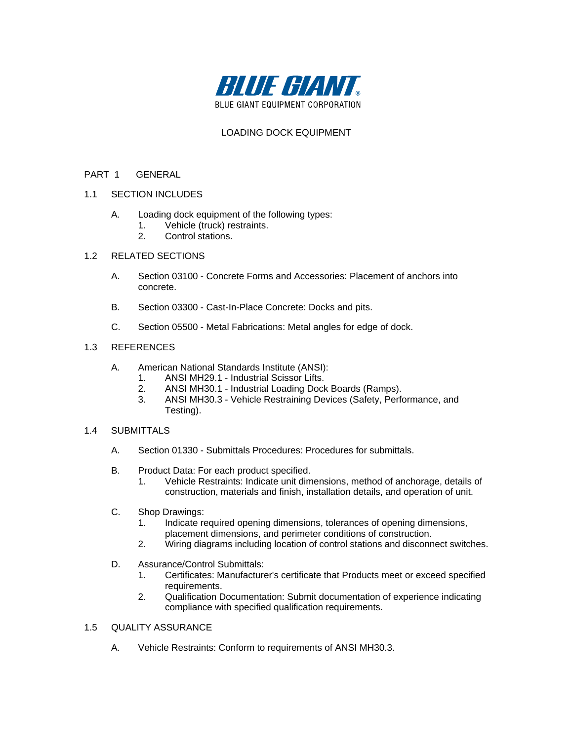

# LOADING DOCK EQUIPMENT

### PART 1 GENERAL

- 1.1 SECTION INCLUDES
	- A. Loading dock equipment of the following types:
		- 1. Vehicle (truck) restraints.
		- 2. Control stations.

### 1.2 RELATED SECTIONS

- A. Section 03100 Concrete Forms and Accessories: Placement of anchors into concrete.
- B. Section 03300 Cast-In-Place Concrete: Docks and pits.
- C. Section 05500 Metal Fabrications: Metal angles for edge of dock.

### 1.3 REFERENCES

- A. American National Standards Institute (ANSI):
	- 1. ANSI MH29.1 Industrial Scissor Lifts.
	- 2. ANSI MH30.1 Industrial Loading Dock Boards (Ramps).
	- 3. ANSI MH30.3 Vehicle Restraining Devices (Safety, Performance, and Testing).

#### 1.4 SUBMITTALS

- A. Section 01330 Submittals Procedures: Procedures for submittals.
- B. Product Data: For each product specified.
	- 1. Vehicle Restraints: Indicate unit dimensions, method of anchorage, details of construction, materials and finish, installation details, and operation of unit.
- C. Shop Drawings:
	- 1. Indicate required opening dimensions, tolerances of opening dimensions, placement dimensions, and perimeter conditions of construction.
	- 2. Wiring diagrams including location of control stations and disconnect switches.
- D. Assurance/Control Submittals:
	- 1. Certificates: Manufacturer's certificate that Products meet or exceed specified requirements.
	- 2. Qualification Documentation: Submit documentation of experience indicating compliance with specified qualification requirements.

## 1.5 QUALITY ASSURANCE

A. Vehicle Restraints: Conform to requirements of ANSI MH30.3.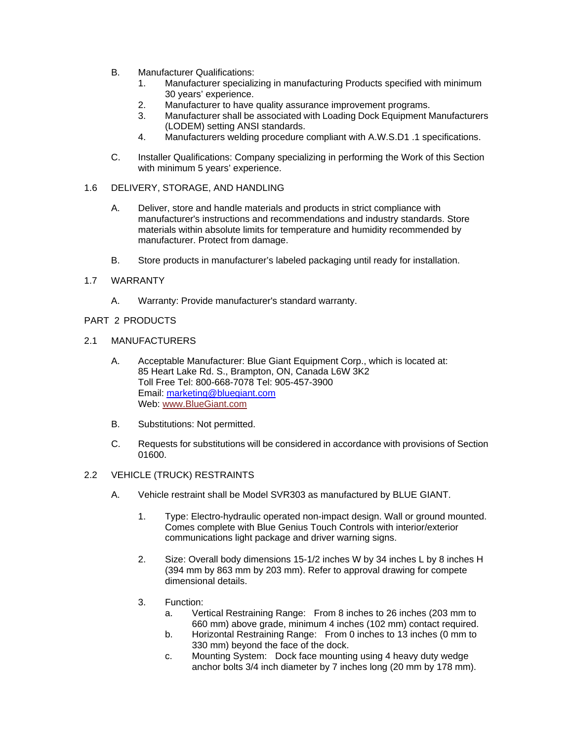- B. Manufacturer Qualifications:
	- 1. Manufacturer specializing in manufacturing Products specified with minimum 30 years' experience.
	- 2. Manufacturer to have quality assurance improvement programs.
	- 3. Manufacturer shall be associated with Loading Dock Equipment Manufacturers (LODEM) setting ANSI standards.
	- 4. Manufacturers welding procedure compliant with A.W.S.D1 .1 specifications.
- C. Installer Qualifications: Company specializing in performing the Work of this Section with minimum 5 years' experience.
- 1.6 DELIVERY, STORAGE, AND HANDLING
	- A. Deliver, store and handle materials and products in strict compliance with manufacturer's instructions and recommendations and industry standards. Store materials within absolute limits for temperature and humidity recommended by manufacturer. Protect from damage.
	- B. Store products in manufacturer's labeled packaging until ready for installation.

### 1.7 WARRANTY

A. Warranty: Provide manufacturer's standard warranty.

### PART 2 PRODUCTS

#### 2.1 MANUFACTURERS

- A. Acceptable Manufacturer: Blue Giant Equipment Corp., which is located at: 85 Heart Lake Rd. S., Brampton, ON, Canada L6W 3K2 Toll Free Tel: 800-668-7078 Tel: 905-457-3900 Email: marketing@bluegiant.com Web: www.BlueGiant.com
- B. Substitutions: Not permitted.
- C. Requests for substitutions will be considered in accordance with provisions of Section 01600.

## 2.2 VEHICLE (TRUCK) RESTRAINTS

- A. Vehicle restraint shall be Model SVR303 as manufactured by BLUE GIANT.
	- 1. Type: Electro-hydraulic operated non-impact design. Wall or ground mounted. Comes complete with Blue Genius Touch Controls with interior/exterior communications light package and driver warning signs.
	- 2. Size: Overall body dimensions 15-1/2 inches W by 34 inches L by 8 inches H (394 mm by 863 mm by 203 mm). Refer to approval drawing for compete dimensional details.
	- 3. Function:
		- a. Vertical Restraining Range: From 8 inches to 26 inches (203 mm to 660 mm) above grade, minimum 4 inches (102 mm) contact required.
		- b. Horizontal Restraining Range: From 0 inches to 13 inches (0 mm to 330 mm) beyond the face of the dock.
		- c. Mounting System: Dock face mounting using 4 heavy duty wedge anchor bolts 3/4 inch diameter by 7 inches long (20 mm by 178 mm).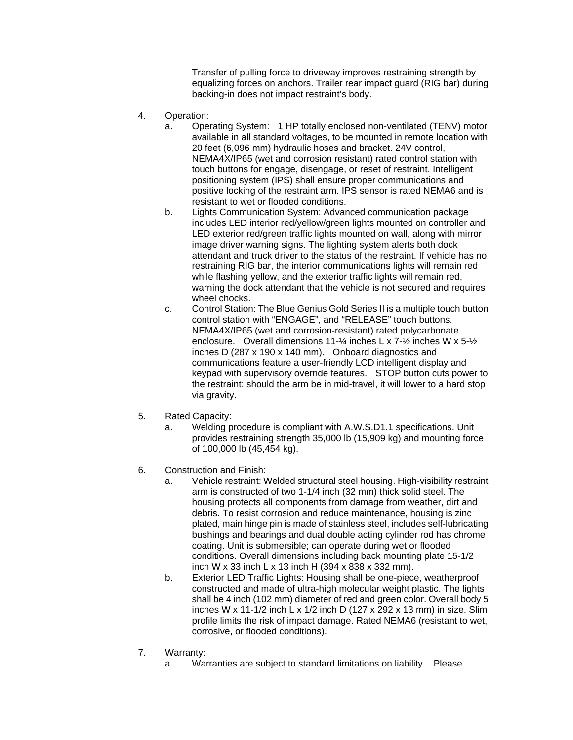Transfer of pulling force to driveway improves restraining strength by equalizing forces on anchors. Trailer rear impact guard (RIG bar) during backing-in does not impact restraint's body.

- 4. Operation:
	- a. Operating System: 1 HP totally enclosed non-ventilated (TENV) motor available in all standard voltages, to be mounted in remote location with 20 feet (6,096 mm) hydraulic hoses and bracket. 24V control, NEMA4X/IP65 (wet and corrosion resistant) rated control station with touch buttons for engage, disengage, or reset of restraint. Intelligent positioning system (IPS) shall ensure proper communications and positive locking of the restraint arm. IPS sensor is rated NEMA6 and is resistant to wet or flooded conditions.
	- b. Lights Communication System: Advanced communication package includes LED interior red/yellow/green lights mounted on controller and LED exterior red/green traffic lights mounted on wall, along with mirror image driver warning signs. The lighting system alerts both dock attendant and truck driver to the status of the restraint. If vehicle has no restraining RIG bar, the interior communications lights will remain red while flashing yellow, and the exterior traffic lights will remain red, warning the dock attendant that the vehicle is not secured and requires wheel chocks.
	- c. Control Station: The Blue Genius Gold Series II is a multiple touch button control station with "ENGAGE", and "RELEASE" touch buttons. NEMA4X/IP65 (wet and corrosion-resistant) rated polycarbonate enclosure. Overall dimensions 11-¼ inches L x 7-½ inches W x 5-½ inches D (287 x 190 x 140 mm). Onboard diagnostics and communications feature a user-friendly LCD intelligent display and keypad with supervisory override features. STOP button cuts power to the restraint: should the arm be in mid-travel, it will lower to a hard stop via gravity.
- 5. Rated Capacity:
	- a. Welding procedure is compliant with A.W.S.D1.1 specifications. Unit provides restraining strength 35,000 lb (15,909 kg) and mounting force of 100,000 lb (45,454 kg).
- 6. Construction and Finish:
	- a. Vehicle restraint: Welded structural steel housing. High-visibility restraint arm is constructed of two 1-1/4 inch (32 mm) thick solid steel. The housing protects all components from damage from weather, dirt and debris. To resist corrosion and reduce maintenance, housing is zinc plated, main hinge pin is made of stainless steel, includes self-lubricating bushings and bearings and dual double acting cylinder rod has chrome coating. Unit is submersible; can operate during wet or flooded conditions. Overall dimensions including back mounting plate 15-1/2 inch W x 33 inch L x 13 inch H (394 x 838 x 332 mm).
	- b. Exterior LED Traffic Lights: Housing shall be one-piece, weatherproof constructed and made of ultra-high molecular weight plastic. The lights shall be 4 inch (102 mm) diameter of red and green color. Overall body 5 inches W x 11-1/2 inch L x 1/2 inch D (127 x 292 x 13 mm) in size. Slim profile limits the risk of impact damage. Rated NEMA6 (resistant to wet, corrosive, or flooded conditions).
- 7. Warranty:
	- a. Warranties are subject to standard limitations on liability. Please